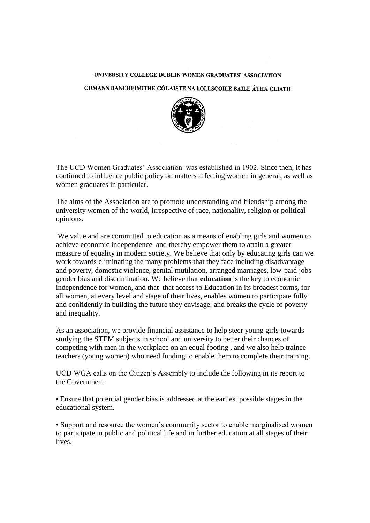## UNIVERSITY COLLEGE DUBLIN WOMEN GRADUATES' ASSOCIATION

## CUMANN BANCHEIMITHE CÓLAISTE NA hOLLSCOILE BAILE ÁTHA CLIATH



The UCD Women Graduates' Association was established in 1902. Since then, it has continued to influence public policy on matters affecting women in general, as well as women graduates in particular.

The aims of the Association are to promote understanding and friendship among the university women of the world, irrespective of race, nationality, religion or political opinions.

We value and are committed to education as a means of enabling girls and women to achieve economic independence and thereby empower them to attain a greater measure of equality in modern society. We believe that only by educating girls can we work towards eliminating the many problems that they face including disadvantage and poverty, domestic violence, genital mutilation, arranged marriages, low-paid jobs gender bias and discrimination. We believe that **education** is the key to economic independence for women, and that that access to Education in its broadest forms, for all women, at every level and stage of their lives, enables women to participate fully and confidently in building the future they envisage, and breaks the cycle of poverty and inequality.

As an association, we provide financial assistance to help steer young girls towards studying the STEM subjects in school and university to better their chances of competing with men in the workplace on an equal footing , and we also help trainee teachers (young women) who need funding to enable them to complete their training.

UCD WGA calls on the Citizen's Assembly to include the following in its report to the Government:

• Ensure that potential gender bias is addressed at the earliest possible stages in the educational system.

• Support and resource the women's community sector to enable marginalised women to participate in public and political life and in further education at all stages of their lives.